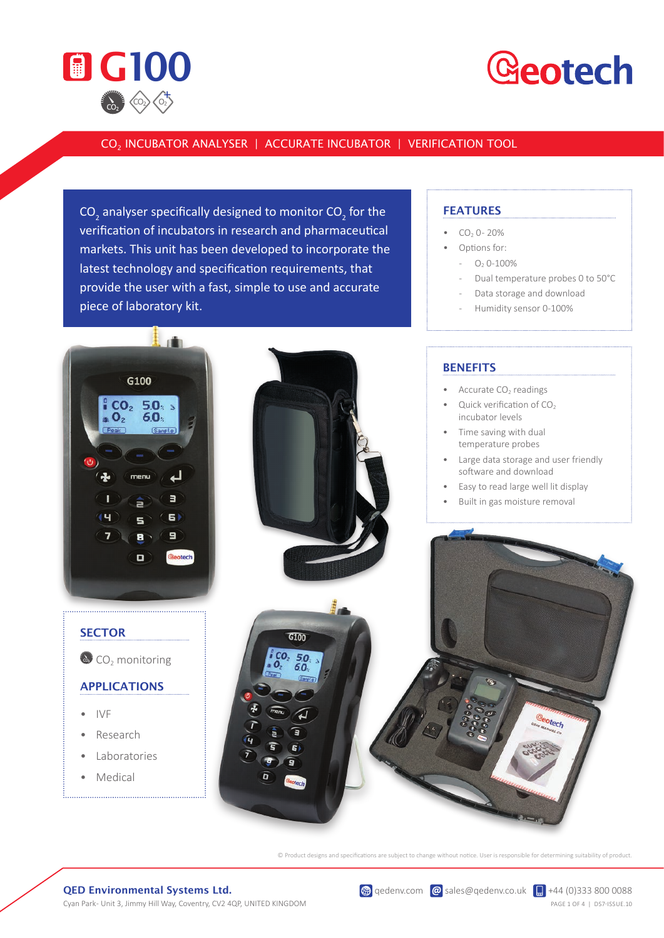

## **Geotech**

### CO2 INCUBATOR ANALYSER | ACCURATE INCUBATOR | VERIFICATION TOOL

CO<sub>2</sub> analyser specifically designed to monitor CO<sub>2</sub> for the verification of incubators in research and pharmaceutical markets. This unit has been developed to incorporate the latest technology and specification requirements, that provide the user with a fast, simple to use and accurate piece of laboratory kit.





- $CO<sub>2</sub>$  0 20%
- Options for:
	- $O<sub>2</sub> 0-100%$
	- Dual temperature probes 0 to 50°C
	- Data storage and download
	- Humidity sensor 0-100%



© Product designs and specifications are subject to change without notice. User is responsible for determining suitability of product.

#### QED Environmental Systems Ltd.

Cyan Park- Unit 3, Jimmy Hill Way, Coventry, CV2 4QP, UNITED KINGDOM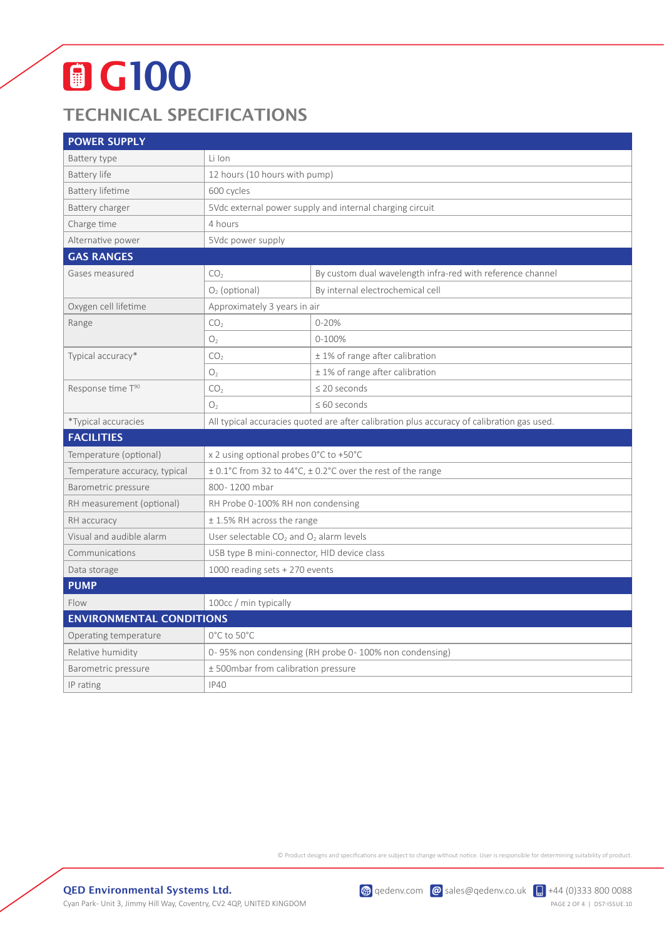# **O** G100

## TECHNICAL SPECIFICATIONS

| <b>POWER SUPPLY</b>             |                                                                                            |                                                            |
|---------------------------------|--------------------------------------------------------------------------------------------|------------------------------------------------------------|
| Battery type                    | Li Ion                                                                                     |                                                            |
| Battery life                    | 12 hours (10 hours with pump)                                                              |                                                            |
| <b>Battery lifetime</b>         | 600 cycles                                                                                 |                                                            |
| Battery charger                 | 5Vdc external power supply and internal charging circuit                                   |                                                            |
| Charge time                     | 4 hours                                                                                    |                                                            |
| Alternative power               | 5Vdc power supply                                                                          |                                                            |
| <b>GAS RANGES</b>               |                                                                                            |                                                            |
| Gases measured                  | CO <sub>2</sub>                                                                            | By custom dual wavelength infra-red with reference channel |
|                                 | $O2$ (optional)                                                                            | By internal electrochemical cell                           |
| Oxygen cell lifetime            | Approximately 3 years in air                                                               |                                                            |
| Range                           | CO <sub>2</sub>                                                                            | $0 - 20%$                                                  |
|                                 | O <sub>2</sub>                                                                             | $0 - 100%$                                                 |
| Typical accuracy*               | CO <sub>2</sub>                                                                            | ± 1% of range after calibration                            |
|                                 | O <sub>2</sub>                                                                             | ± 1% of range after calibration                            |
| Response time T90               | CO <sub>2</sub>                                                                            | $\leq$ 20 seconds                                          |
|                                 | O <sub>2</sub>                                                                             | $\leq 60$ seconds                                          |
| *Typical accuracies             | All typical accuracies quoted are after calibration plus accuracy of calibration gas used. |                                                            |
| <b>FACILITIES</b>               |                                                                                            |                                                            |
| Temperature (optional)          | x 2 using optional probes 0°C to +50°C                                                     |                                                            |
| Temperature accuracy, typical   | ± 0.1°C from 32 to 44°C, ± 0.2°C over the rest of the range                                |                                                            |
| Barometric pressure             | 800-1200 mbar                                                                              |                                                            |
| RH measurement (optional)       | RH Probe 0-100% RH non condensing                                                          |                                                            |
| RH accuracy                     | $\pm$ 1.5% RH across the range                                                             |                                                            |
| Visual and audible alarm        | User selectable CO <sub>2</sub> and O <sub>2</sub> alarm levels                            |                                                            |
| Communications                  | USB type B mini-connector, HID device class                                                |                                                            |
| Data storage                    | 1000 reading sets + 270 events                                                             |                                                            |
| <b>PUMP</b>                     |                                                                                            |                                                            |
| Flow                            | 100cc / min typically                                                                      |                                                            |
| <b>ENVIRONMENTAL CONDITIONS</b> |                                                                                            |                                                            |
| Operating temperature           | 0°C to 50°C                                                                                |                                                            |
| Relative humidity               | 0-95% non condensing (RH probe 0-100% non condensing)                                      |                                                            |
| Barometric pressure             | ± 500mbar from calibration pressure                                                        |                                                            |
| IP rating                       | <b>IP40</b>                                                                                |                                                            |

© Product designs and specifications are subject to change without notice. User is responsible for determining suitability of product.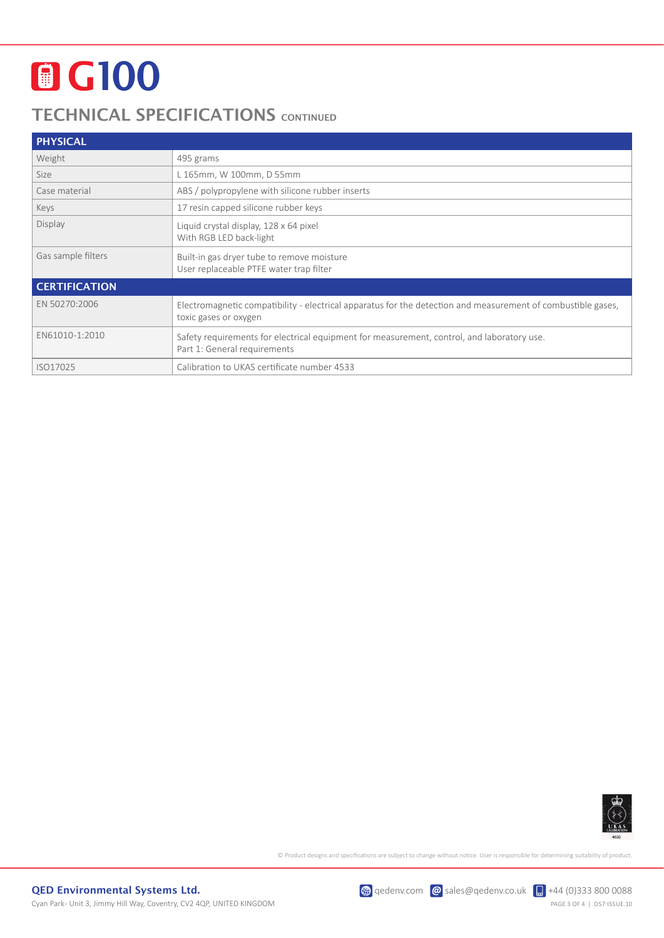# **O** G100

### TECHNICAL SPECIFICATIONS CONTINUED

| <b>PHYSICAL</b>      |                                                                                                                                       |  |  |
|----------------------|---------------------------------------------------------------------------------------------------------------------------------------|--|--|
| Weight               | 495 grams                                                                                                                             |  |  |
| Size                 | L 165mm, W 100mm, D 55mm                                                                                                              |  |  |
| Case material        | ABS / polypropylene with silicone rubber inserts                                                                                      |  |  |
| Keys                 | 17 resin capped silicone rubber keys                                                                                                  |  |  |
| Display              | Liquid crystal display, 128 x 64 pixel<br>With RGB LED back-light                                                                     |  |  |
| Gas sample filters   | Built-in gas dryer tube to remove moisture<br>User replaceable PTFE water trap filter                                                 |  |  |
| <b>CERTIFICATION</b> |                                                                                                                                       |  |  |
| EN 50270:2006        | Electromagnetic compatibility - electrical apparatus for the detection and measurement of combustible gases,<br>toxic gases or oxygen |  |  |
| EN61010-1:2010       | Safety requirements for electrical equipment for measurement, control, and laboratory use.<br>Part 1: General requirements            |  |  |
| ISO17025             | Calibration to UKAS certificate number 4533                                                                                           |  |  |



© Product designs and specifications are subject to change without notice. User is responsible for determining suitability of product.

 $\circledast$  qedenv.com  $\circledast$  sales@qedenv.co.uk  $\circledast$  +44 (0)333 800 0088 PAGE 3 OF 4 | DS7-ISSUE.10